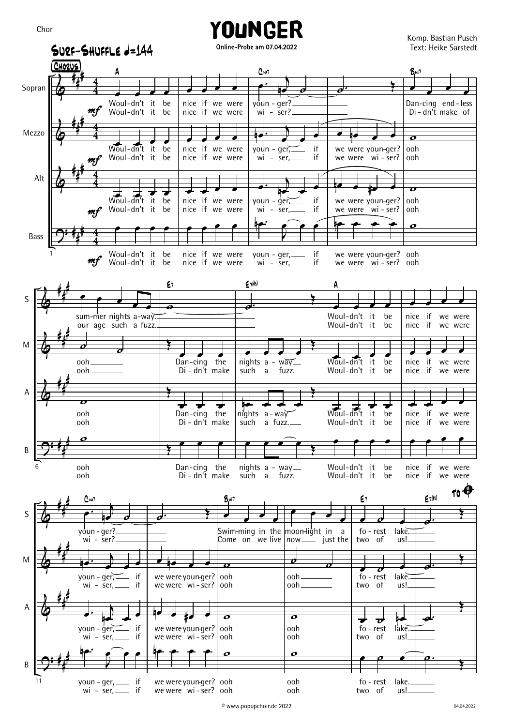



Younger